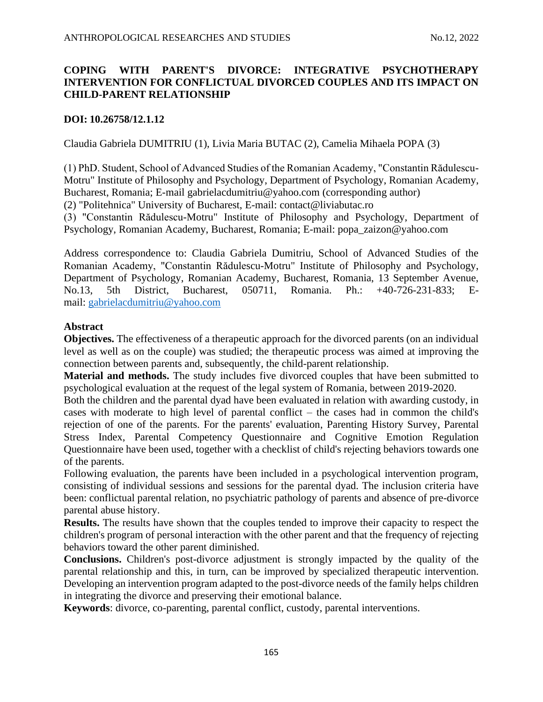# **COPING WITH PARENT'S DIVORCE: INTEGRATIVE PSYCHOTHERAPY INTERVENTION FOR CONFLICTUAL DIVORCED COUPLES AND ITS IMPACT ON CHILD-PARENT RELATIONSHIP**

## **DOI: 10.26758/12.1.12**

Claudia Gabriela DUMITRIU (1), Livia Maria BUTAC (2), Camelia Mihaela POPA (3)

(1) PhD. Student, School of Advanced Studies of the Romanian Academy, "Constantin Rădulescu-Motru" Institute of Philosophy and Psychology, Department of Psychology, Romanian Academy, Bucharest, Romania; E-mail [gabrielacdumitriu@yahoo.com](mailto:gabrielacdumitriu@yahoo.com) (corresponding author)

(2) "Politehnica" University of Bucharest, E-mail: [contact@liviabutac.ro](mailto:contact@liviabutac.ro)

(3) "Constantin Rădulescu-Motru" Institute of Philosophy and Psychology, Department of Psychology, Romanian Academy, Bucharest, Romania; E-mail: [popa\\_zaizon@yahoo.com](mailto:popa_zaizon@yahoo.com)

Address correspondence to: Claudia Gabriela Dumitriu, School of Advanced Studies of the Romanian Academy, "Constantin Rădulescu-Motru" Institute of Philosophy and Psychology, Department of Psychology, Romanian Academy, Bucharest, Romania, 13 September Avenue, No.13, 5th District, Bucharest, 050711, Romania. Ph.: +40-726-231-833; Email: <gabrielacdumitriu@yahoo.com>

## **Abstract**

**Objectives.** The effectiveness of a therapeutic approach for the divorced parents (on an individual level as well as on the couple) was studied; the therapeutic process was aimed at improving the connection between parents and, subsequently, the child-parent relationship.

**Material and methods.** The study includes five divorced couples that have been submitted to psychological evaluation at the request of the legal system of Romania, between 2019-2020.

Both the children and the parental dyad have been evaluated in relation with awarding custody, in cases with moderate to high level of parental conflict – the cases had in common the child's rejection of one of the parents. For the parents' evaluation, Parenting History Survey, Parental Stress Index, Parental Competency Questionnaire and Cognitive Emotion Regulation Questionnaire have been used, together with a checklist of child's rejecting behaviors towards one of the parents.

Following evaluation, the parents have been included in a psychological intervention program, consisting of individual sessions and sessions for the parental dyad. The inclusion criteria have been: conflictual parental relation, no psychiatric pathology of parents and absence of pre-divorce parental abuse history.

**Results.** The results have shown that the couples tended to improve their capacity to respect the children's program of personal interaction with the other parent and that the frequency of rejecting behaviors toward the other parent diminished.

**Conclusions.** Children's post-divorce adjustment is strongly impacted by the quality of the parental relationship and this, in turn, can be improved by specialized therapeutic intervention. Developing an intervention program adapted to the post-divorce needs of the family helps children in integrating the divorce and preserving their emotional balance.

**Keywords**: divorce, co-parenting, parental conflict, custody, parental interventions.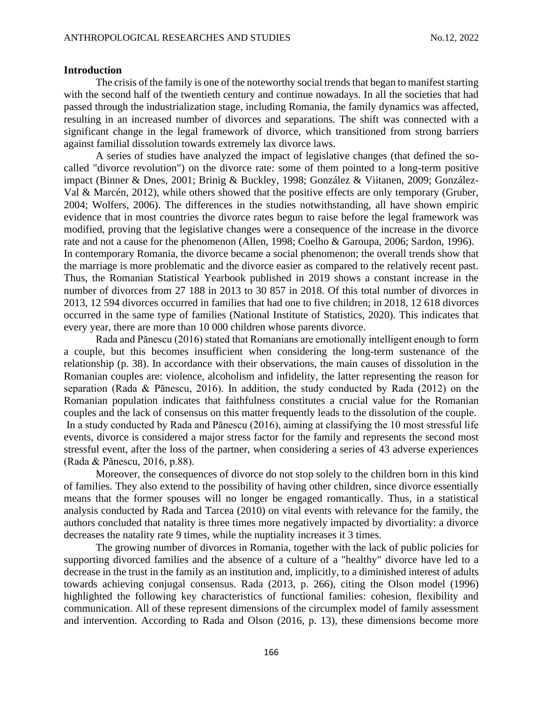### **Introduction**

The crisis of the family is one of the noteworthy social trends that began to manifest starting with the second half of the twentieth century and continue nowadays. In all the societies that had passed through the industrialization stage, including Romania, the family dynamics was affected, resulting in an increased number of divorces and separations. The shift was connected with a significant change in the legal framework of divorce, which transitioned from strong barriers against familial dissolution towards extremely lax divorce laws.

A series of studies have analyzed the impact of legislative changes (that defined the socalled "divorce revolution") on the divorce rate: some of them pointed to a long-term positive impact (Binner & Dnes, 2001; Brinig & Buckley, 1998; González & Viitanen, 2009; González-Val & Marcén, 2012), while others showed that the positive effects are only temporary (Gruber, 2004; Wolfers, 2006). The differences in the studies notwithstanding, all have shown empiric evidence that in most countries the divorce rates begun to raise before the legal framework was modified, proving that the legislative changes were a consequence of the increase in the divorce rate and not a cause for the phenomenon (Allen, 1998; Coelho & Garoupa, 2006; Sardon, 1996). In contemporary Romania, the divorce became a social phenomenon; the overall trends show that the marriage is more problematic and the divorce easier as compared to the relatively recent past. Thus, the Romanian Statistical Yearbook published in 2019 shows a constant increase in the number of divorces from 27 188 in 2013 to 30 857 in 2018. Of this total number of divorces in 2013, 12 594 divorces occurred in families that had one to five children; in 2018, 12 618 divorces occurred in the same type of families (National Institute of Statistics, 2020). This indicates that every year, there are more than 10 000 children whose parents divorce.

Rada and Pănescu (2016) stated that Romanians are emotionally intelligent enough to form a couple, but this becomes insufficient when considering the long-term sustenance of the relationship (p. 38). In accordance with their observations, the main causes of dissolution in the Romanian couples are: violence, alcoholism and infidelity, the latter representing the reason for separation (Rada & Pănescu, 2016). In addition, the study conducted by Rada (2012) on the Romanian population indicates that faithfulness constitutes a crucial value for the Romanian couples and the lack of consensus on this matter frequently leads to the dissolution of the couple. In a study conducted by Rada and Pănescu (2016), aiming at classifying the 10 most stressful life events, divorce is considered a major stress factor for the family and represents the second most stressful event, after the loss of the partner, when considering a series of 43 adverse experiences (Rada & Pănescu, 2016, p.88).

Moreover, the consequences of divorce do not stop solely to the children born in this kind of families. They also extend to the possibility of having other children, since divorce essentially means that the former spouses will no longer be engaged romantically. Thus, in a statistical analysis conducted by Rada and Tarcea (2010) on vital events with relevance for the family, the authors concluded that natality is three times more negatively impacted by divortiality: a divorce decreases the natality rate 9 times, while the nuptiality increases it 3 times.

The growing number of divorces in Romania, together with the lack of public policies for supporting divorced families and the absence of a culture of a "healthy" divorce have led to a decrease in the trust in the family as an institution and, implicitly, to a diminished interest of adults towards achieving conjugal consensus. Rada (2013, p. 266), citing the Olson model (1996) highlighted the following key characteristics of functional families: cohesion, flexibility and communication. All of these represent dimensions of the circumplex model of family assessment and intervention. According to Rada and Olson (2016, p. 13), these dimensions become more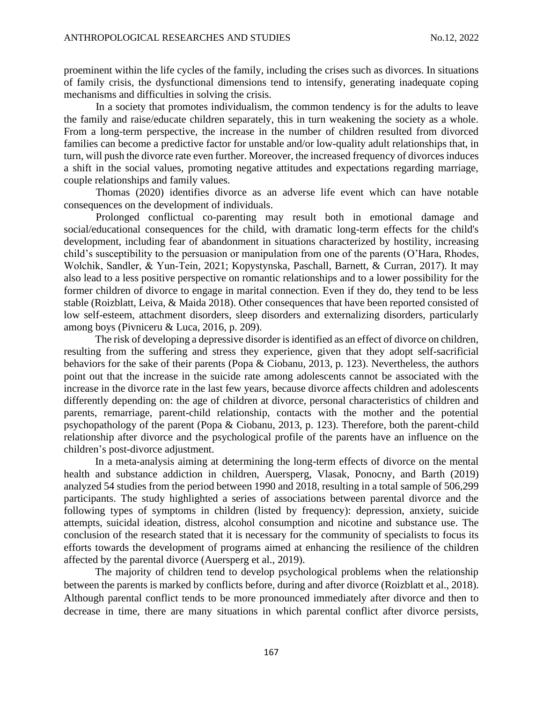proeminent within the life cycles of the family, including the crises such as divorces. In situations of family crisis, the dysfunctional dimensions tend to intensify, generating inadequate coping mechanisms and difficulties in solving the crisis.

In a society that promotes individualism, the common tendency is for the adults to leave the family and raise/educate children separately, this in turn weakening the society as a whole. From a long-term perspective, the increase in the number of children resulted from divorced families can become a predictive factor for unstable and/or low-quality adult relationships that, in turn, will push the divorce rate even further. Moreover, the increased frequency of divorces induces a shift in the social values, promoting negative attitudes and expectations regarding marriage, couple relationships and family values.

Thomas (2020) identifies divorce as an adverse life event which can have notable consequences on the development of individuals.

Prolonged conflictual co-parenting may result both in emotional damage and social/educational consequences for the child, with dramatic long-term effects for the child's development, including fear of abandonment in situations characterized by hostility, increasing child's susceptibility to the persuasion or manipulation from one of the parents (O'Hara, Rhodes, Wolchik, Sandler, & Yun‐Tein, 2021; Kopystynska, Paschall, Barnett, & Curran, 2017). It may also lead to a less positive perspective on romantic relationships and to a lower possibility for the former children of divorce to engage in marital connection. Even if they do, they tend to be less stable (Roizblatt, Leiva, & Maida 2018). Other consequences that have been reported consisted of low self-esteem, attachment disorders, sleep disorders and externalizing disorders, particularly among boys (Pivniceru & Luca, 2016, p. 209).

The risk of developing a depressive disorder is identified as an effect of divorce on children, resulting from the suffering and stress they experience, given that they adopt self-sacrificial behaviors for the sake of their parents (Popa & Ciobanu, 2013, p. 123). Nevertheless, the authors point out that the increase in the suicide rate among adolescents cannot be associated with the increase in the divorce rate in the last few years, because divorce affects children and adolescents differently depending on: the age of children at divorce, personal characteristics of children and parents, remarriage, parent-child relationship, contacts with the mother and the potential psychopathology of the parent (Popa & Ciobanu, 2013, p. 123). Therefore, both the parent-child relationship after divorce and the psychological profile of the parents have an influence on the children's post-divorce adjustment.

In a meta-analysis aiming at determining the long-term effects of divorce on the mental health and substance addiction in children, Auersperg, Vlasak, Ponocny, and Barth (2019) analyzed 54 studies from the period between 1990 and 2018, resulting in a total sample of 506,299 participants. The study highlighted a series of associations between parental divorce and the following types of symptoms in children (listed by frequency): depression, anxiety, suicide attempts, suicidal ideation, distress, alcohol consumption and nicotine and substance use. The conclusion of the research stated that it is necessary for the community of specialists to focus its efforts towards the development of programs aimed at enhancing the resilience of the children affected by the parental divorce (Auersperg et al., 2019).

The majority of children tend to develop psychological problems when the relationship between the parents is marked by conflicts before, during and after divorce (Roizblatt et al., 2018). Although parental conflict tends to be more pronounced immediately after divorce and then to decrease in time, there are many situations in which parental conflict after divorce persists,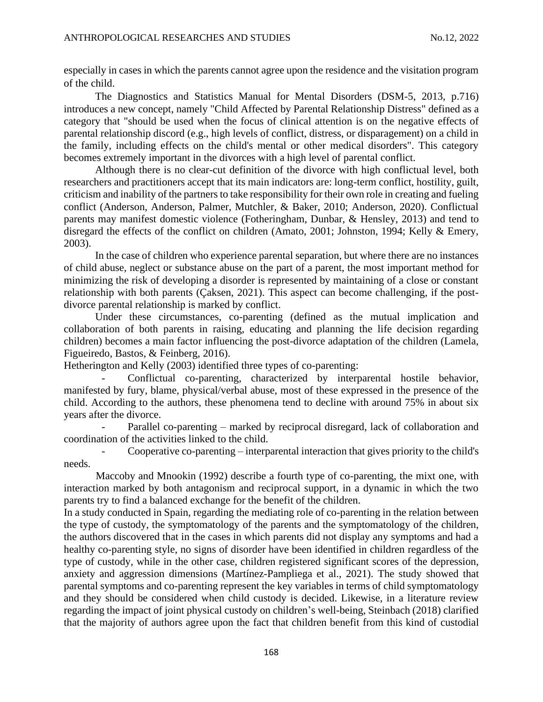especially in cases in which the parents cannot agree upon the residence and the visitation program of the child.

The Diagnostics and Statistics Manual for Mental Disorders (DSM-5, 2013, p.716) introduces a new concept, namely "Child Affected by Parental Relationship Distress" defined as a category that "should be used when the focus of clinical attention is on the negative effects of parental relationship discord (e.g., high levels of conflict, distress, or disparagement) on a child in the family, including effects on the child's mental or other medical disorders". This category becomes extremely important in the divorces with a high level of parental conflict.

Although there is no clear-cut definition of the divorce with high conflictual level, both researchers and practitioners accept that its main indicators are: long-term conflict, hostility, guilt, criticism and inability of the partners to take responsibility for their own role in creating and fueling conflict (Anderson, Anderson, Palmer, Mutchler, & Baker, 2010; Anderson, 2020). Conflictual parents may manifest domestic violence (Fotheringham, Dunbar, & Hensley, 2013) and tend to disregard the effects of the conflict on children (Amato, 2001; Johnston, 1994; Kelly & Emery, 2003).

In the case of children who experience parental separation, but where there are no instances of child abuse, neglect or substance abuse on the part of a parent, the most important method for minimizing the risk of developing a disorder is represented by maintaining of a close or constant relationship with both parents (Çaksen, 2021). This aspect can become challenging, if the postdivorce parental relationship is marked by conflict.

Under these circumstances, co-parenting (defined as the mutual implication and collaboration of both parents in raising, educating and planning the life decision regarding children) becomes a main factor influencing the post-divorce adaptation of the children (Lamela, Figueiredo, Bastos, & Feinberg, 2016).

Hetherington and Kelly (2003) identified three types of co-parenting:

Conflictual co-parenting, characterized by interparental hostile behavior, manifested by fury, blame, physical/verbal abuse, most of these expressed in the presence of the child. According to the authors, these phenomena tend to decline with around 75% in about six years after the divorce.

Parallel co-parenting – marked by reciprocal disregard, lack of collaboration and coordination of the activities linked to the child.

- Cooperative co-parenting – interparental interaction that gives priority to the child's needs.

Maccoby and Mnookin (1992) describe a fourth type of co-parenting, the mixt one, with interaction marked by both antagonism and reciprocal support, in a dynamic in which the two parents try to find a balanced exchange for the benefit of the children.

In a study conducted in Spain, regarding the mediating role of co-parenting in the relation between the type of custody, the symptomatology of the parents and the symptomatology of the children, the authors discovered that in the cases in which parents did not display any symptoms and had a healthy co-parenting style, no signs of disorder have been identified in children regardless of the type of custody, while in the other case, children registered significant scores of the depression, anxiety and aggression dimensions (Martínez-Pampliega et al., 2021). The study showed that parental symptoms and co-parenting represent the key variables in terms of child symptomatology and they should be considered when child custody is decided. Likewise, in a literature review regarding the impact of joint physical custody on children's well-being, Steinbach (2018) clarified that the majority of authors agree upon the fact that children benefit from this kind of custodial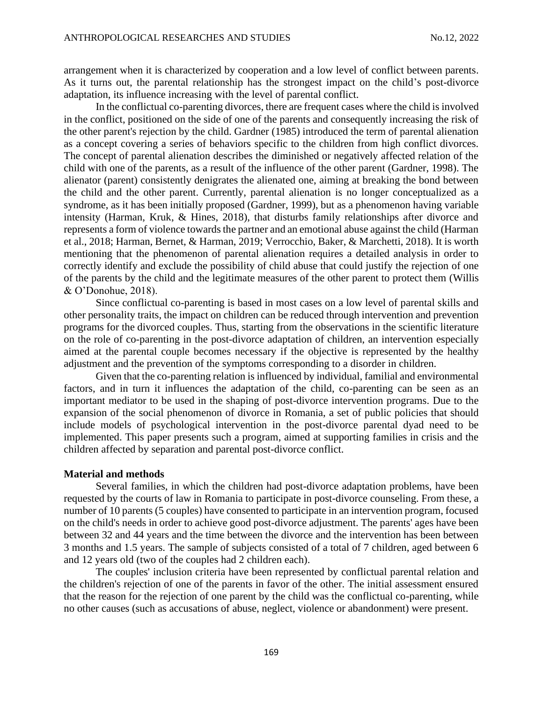arrangement when it is characterized by cooperation and a low level of conflict between parents. As it turns out, the parental relationship has the strongest impact on the child's post-divorce adaptation, its influence increasing with the level of parental conflict.

In the conflictual co-parenting divorces, there are frequent cases where the child is involved in the conflict, positioned on the side of one of the parents and consequently increasing the risk of the other parent's rejection by the child. Gardner (1985) introduced the term of parental alienation as a concept covering a series of behaviors specific to the children from high conflict divorces. The concept of parental alienation describes the diminished or negatively affected relation of the child with one of the parents, as a result of the influence of the other parent (Gardner, 1998). The alienator (parent) consistently denigrates the alienated one, aiming at breaking the bond between the child and the other parent. Currently, parental alienation is no longer conceptualized as a syndrome, as it has been initially proposed (Gardner, 1999), but as a phenomenon having variable intensity (Harman, Kruk, & Hines, 2018), that disturbs family relationships after divorce and represents a form of violence towards the partner and an emotional abuse against the child (Harman et al., 2018; Harman, Bernet, & Harman, 2019; Verrocchio, Baker, & Marchetti, 2018). It is worth mentioning that the phenomenon of parental alienation requires a detailed analysis in order to correctly identify and exclude the possibility of child abuse that could justify the rejection of one of the parents by the child and the legitimate measures of the other parent to protect them (Willis & O'Donohue, 2018).

Since conflictual co-parenting is based in most cases on a low level of parental skills and other personality traits, the impact on children can be reduced through intervention and prevention programs for the divorced couples. Thus, starting from the observations in the scientific literature on the role of co-parenting in the post-divorce adaptation of children, an intervention especially aimed at the parental couple becomes necessary if the objective is represented by the healthy adjustment and the prevention of the symptoms corresponding to a disorder in children.

Given that the co-parenting relation is influenced by individual, familial and environmental factors, and in turn it influences the adaptation of the child, co-parenting can be seen as an important mediator to be used in the shaping of post-divorce intervention programs. Due to the expansion of the social phenomenon of divorce in Romania, a set of public policies that should include models of psychological intervention in the post-divorce parental dyad need to be implemented. This paper presents such a program, aimed at supporting families in crisis and the children affected by separation and parental post-divorce conflict.

### **Material and methods**

Several families, in which the children had post-divorce adaptation problems, have been requested by the courts of law in Romania to participate in post-divorce counseling. From these, a number of 10 parents (5 couples) have consented to participate in an intervention program, focused on the child's needs in order to achieve good post-divorce adjustment. The parents' ages have been between 32 and 44 years and the time between the divorce and the intervention has been between 3 months and 1.5 years. The sample of subjects consisted of a total of 7 children, aged between 6 and 12 years old (two of the couples had 2 children each).

The couples' inclusion criteria have been represented by conflictual parental relation and the children's rejection of one of the parents in favor of the other. The initial assessment ensured that the reason for the rejection of one parent by the child was the conflictual co-parenting, while no other causes (such as accusations of abuse, neglect, violence or abandonment) were present.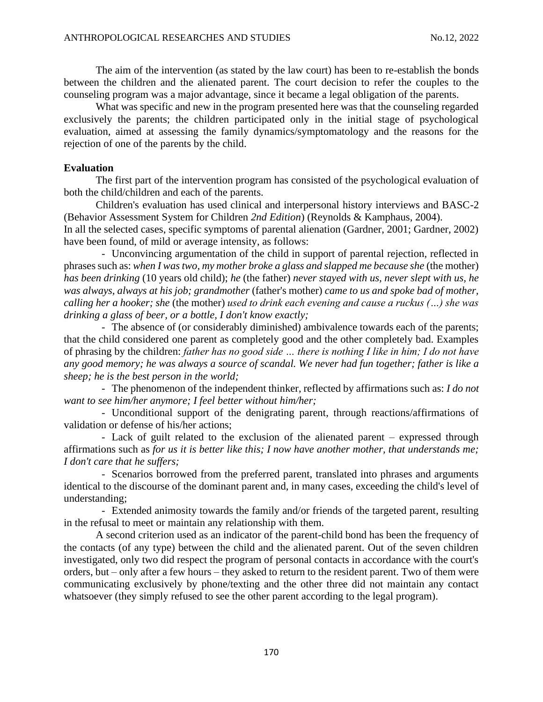The aim of the intervention (as stated by the law court) has been to re-establish the bonds between the children and the alienated parent. The court decision to refer the couples to the counseling program was a major advantage, since it became a legal obligation of the parents.

What was specific and new in the program presented here was that the counseling regarded exclusively the parents; the children participated only in the initial stage of psychological evaluation, aimed at assessing the family dynamics/symptomatology and the reasons for the rejection of one of the parents by the child.

## **Evaluation**

The first part of the intervention program has consisted of the psychological evaluation of both the child/children and each of the parents.

Children's evaluation has used clinical and interpersonal history interviews and BASC-2 (Behavior Assessment System for Children *2nd Edition*) (Reynolds & Kamphaus, 2004). In all the selected cases, specific symptoms of parental alienation (Gardner, 2001; Gardner, 2002) have been found, of mild or average intensity, as follows:

- Unconvincing argumentation of the child in support of parental rejection, reflected in phrases such as: *when I was two, my mother broke a glass and slapped me because she* (the mother) *has been drinking* (10 years old child); *he* (the father) *never stayed with us, never slept with us, he was always, always at his job; grandmother* (father's mother) *came to us and spoke bad of mother, calling her a hooker; she* (the mother) *used to drink each evening and cause a ruckus (…) she was drinking a glass of beer, or a bottle, I don't know exactly;*

- The absence of (or considerably diminished) ambivalence towards each of the parents; that the child considered one parent as completely good and the other completely bad. Examples of phrasing by the children: *father has no good side … there is nothing I like in him; I do not have any good memory; he was always a source of scandal. We never had fun together; father is like a sheep; he is the best person in the world;*

- The phenomenon of the independent thinker, reflected by affirmations such as: *I do not want to see him/her anymore; I feel better without him/her;*

- Unconditional support of the denigrating parent, through reactions/affirmations of validation or defense of his/her actions;

- Lack of guilt related to the exclusion of the alienated parent – expressed through affirmations such as *for us it is better like this; I now have another mother, that understands me; I don't care that he suffers;*

- Scenarios borrowed from the preferred parent, translated into phrases and arguments identical to the discourse of the dominant parent and, in many cases, exceeding the child's level of understanding;

- Extended animosity towards the family and/or friends of the targeted parent, resulting in the refusal to meet or maintain any relationship with them.

A second criterion used as an indicator of the parent-child bond has been the frequency of the contacts (of any type) between the child and the alienated parent. Out of the seven children investigated, only two did respect the program of personal contacts in accordance with the court's orders, but – only after a few hours – they asked to return to the resident parent. Two of them were communicating exclusively by phone/texting and the other three did not maintain any contact whatsoever (they simply refused to see the other parent according to the legal program).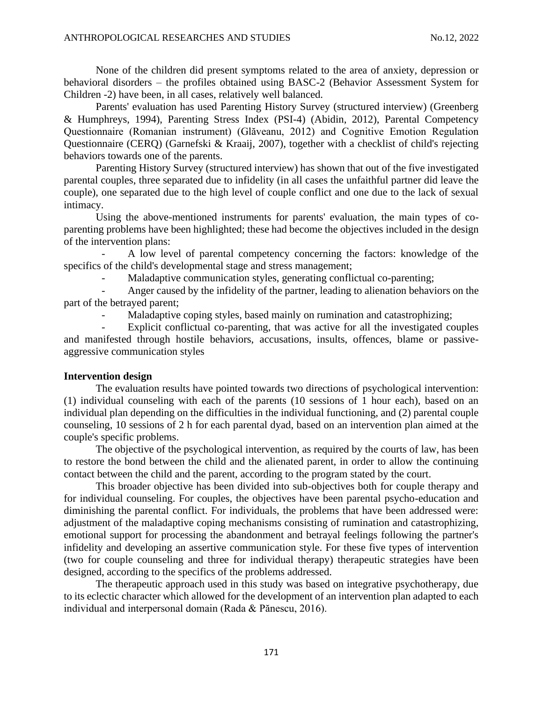None of the children did present symptoms related to the area of anxiety, depression or behavioral disorders – the profiles obtained using BASC-2 (Behavior Assessment System for Children -2) have been, in all cases, relatively well balanced.

Parents' evaluation has used Parenting History Survey (structured interview) (Greenberg & Humphreys, 1994), Parenting Stress Index (PSI-4) (Abidin, 2012), Parental Competency Questionnaire (Romanian instrument) (Glăveanu, 2012) and Cognitive Emotion Regulation Questionnaire (CERQ) (Garnefski & Kraaij, 2007), together with a checklist of child's rejecting behaviors towards one of the parents.

Parenting History Survey (structured interview) has shown that out of the five investigated parental couples, three separated due to infidelity (in all cases the unfaithful partner did leave the couple), one separated due to the high level of couple conflict and one due to the lack of sexual intimacy.

Using the above-mentioned instruments for parents' evaluation, the main types of coparenting problems have been highlighted; these had become the objectives included in the design of the intervention plans:

- A low level of parental competency concerning the factors: knowledge of the specifics of the child's developmental stage and stress management;

Maladaptive communication styles, generating conflictual co-parenting;

Anger caused by the infidelity of the partner, leading to alienation behaviors on the part of the betrayed parent;

Maladaptive coping styles, based mainly on rumination and catastrophizing;

Explicit conflictual co-parenting, that was active for all the investigated couples and manifested through hostile behaviors, accusations, insults, offences, blame or passiveaggressive communication styles

### **Intervention design**

The evaluation results have pointed towards two directions of psychological intervention: (1) individual counseling with each of the parents (10 sessions of 1 hour each), based on an individual plan depending on the difficulties in the individual functioning, and (2) parental couple counseling, 10 sessions of 2 h for each parental dyad, based on an intervention plan aimed at the couple's specific problems.

The objective of the psychological intervention, as required by the courts of law, has been to restore the bond between the child and the alienated parent, in order to allow the continuing contact between the child and the parent, according to the program stated by the court.

This broader objective has been divided into sub-objectives both for couple therapy and for individual counseling. For couples, the objectives have been parental psycho-education and diminishing the parental conflict. For individuals, the problems that have been addressed were: adjustment of the maladaptive coping mechanisms consisting of rumination and catastrophizing, emotional support for processing the abandonment and betrayal feelings following the partner's infidelity and developing an assertive communication style. For these five types of intervention (two for couple counseling and three for individual therapy) therapeutic strategies have been designed, according to the specifics of the problems addressed.

The therapeutic approach used in this study was based on integrative psychotherapy, due to its eclectic character which allowed for the development of an intervention plan adapted to each individual and interpersonal domain (Rada & Pănescu, 2016).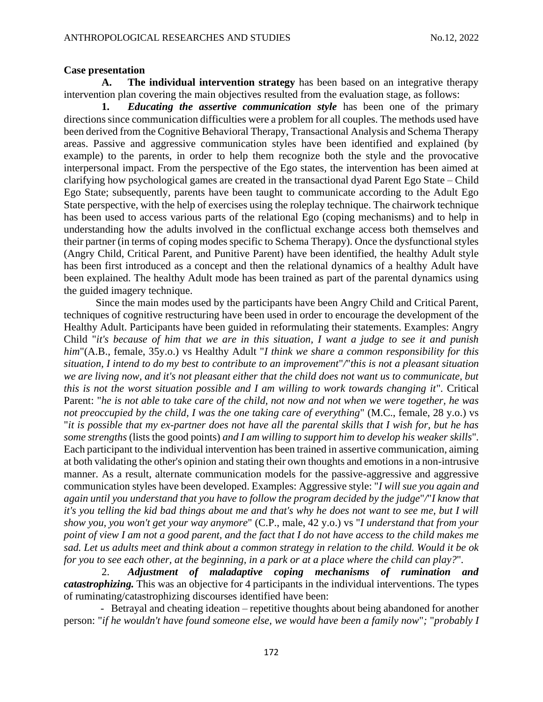### **Case presentation**

**A. The individual intervention strategy** has been based on an integrative therapy intervention plan covering the main objectives resulted from the evaluation stage, as follows:

**1.** *Educating the assertive communication style* has been one of the primary directions since communication difficulties were a problem for all couples. The methods used have been derived from the Cognitive Behavioral Therapy, Transactional Analysis and Schema Therapy areas. Passive and aggressive communication styles have been identified and explained (by example) to the parents, in order to help them recognize both the style and the provocative interpersonal impact. From the perspective of the Ego states, the intervention has been aimed at clarifying how psychological games are created in the transactional dyad Parent Ego State – Child Ego State; subsequently, parents have been taught to communicate according to the Adult Ego State perspective, with the help of exercises using the roleplay technique. The chairwork technique has been used to access various parts of the relational Ego (coping mechanisms) and to help in understanding how the adults involved in the conflictual exchange access both themselves and their partner (in terms of coping modes specific to Schema Therapy). Once the dysfunctional styles (Angry Child, Critical Parent, and Punitive Parent) have been identified, the healthy Adult style has been first introduced as a concept and then the relational dynamics of a healthy Adult have been explained. The healthy Adult mode has been trained as part of the parental dynamics using the guided imagery technique.

Since the main modes used by the participants have been Angry Child and Critical Parent, techniques of cognitive restructuring have been used in order to encourage the development of the Healthy Adult. Participants have been guided in reformulating their statements. Examples: Angry Child "*it's because of him that we are in this situation, I want a judge to see it and punish him*"(A.B., female, 35y.o.) vs Healthy Adult "*I think we share a common responsibility for this situation, I intend to do my best to contribute to an improvement*"*/*"*this is not a pleasant situation we are living now, and it's not pleasant either that the child does not want us to communicate, but this is not the worst situation possible and I am willing to work towards changing it*"*.* Critical Parent: "*he is not able to take care of the child, not now and not when we were together, he was not preoccupied by the child, I was the one taking care of everything*" (M.C., female, 28 y.o.) vs "*it is possible that my ex-partner does not have all the parental skills that I wish for, but he has some strengths* (lists the good points) *and I am willing to support him to develop his weaker skills*"*.* Each participant to the individual intervention has been trained in assertive communication, aiming at both validating the other's opinion and stating their own thoughts and emotions in a non-intrusive manner. As a result, alternate communication models for the passive-aggressive and aggressive communication styles have been developed. Examples: Aggressive style: "*I will sue you again and again until you understand that you have to follow the program decided by the judge*"*/*"*I know that it's you telling the kid bad things about me and that's why he does not want to see me, but I will show you, you won't get your way anymore*" (C.P., male, 42 y.o.) vs "*I understand that from your point of view I am not a good parent, and the fact that I do not have access to the child makes me sad. Let us adults meet and think about a common strategy in relation to the child. Would it be ok for you to see each other, at the beginning, in a park or at a place where the child can play?*"*.* 

2. *Adjustment of maladaptive coping mechanisms of rumination and catastrophizing.* This was an objective for 4 participants in the individual interventions. The types of ruminating/catastrophizing discourses identified have been:

 - Betrayal and cheating ideation – repetitive thoughts about being abandoned for another person: "*if he wouldn't have found someone else, we would have been a family now*"*;* "*probably I*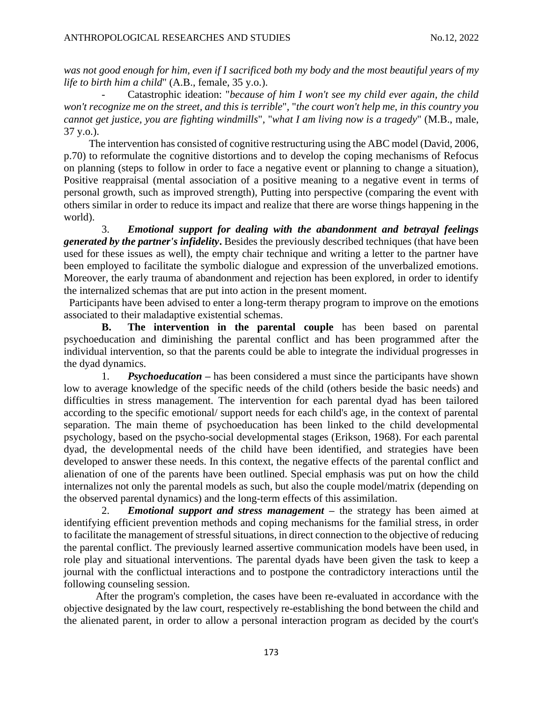*was not good enough for him, even if I sacrificed both my body and the most beautiful years of my life to birth him a child*" (A.B., female, 35 y.o.).

Catastrophic ideation: "*because of him I won't see my child ever again, the child won't recognize me on the street, and this is terrible*"*,* "*the court won't help me, in this country you cannot get justice, you are fighting windmills*"*,* "*what I am living now is a tragedy*" (M.B., male, 37 y.o.).

The intervention has consisted of cognitive restructuring using the ABC model (David, 2006, p.70) to reformulate the cognitive distortions and to develop the coping mechanisms of Refocus on planning (steps to follow in order to face a negative event or planning to change a situation), Positive reappraisal (mental association of a positive meaning to a negative event in terms of personal growth, such as improved strength), Putting into perspective (comparing the event with others similar in order to reduce its impact and realize that there are worse things happening in the world).

3. *Emotional support for dealing with the abandonment and betrayal feelings generated by the partner's infidelity***.** Besides the previously described techniques (that have been used for these issues as well), the empty chair technique and writing a letter to the partner have been employed to facilitate the symbolic dialogue and expression of the unverbalized emotions. Moreover, the early trauma of abandonment and rejection has been explored, in order to identify the internalized schemas that are put into action in the present moment.

Participants have been advised to enter a long-term therapy program to improve on the emotions associated to their maladaptive existential schemas.

**B. The intervention in the parental couple** has been based on parental psychoeducation and diminishing the parental conflict and has been programmed after the individual intervention, so that the parents could be able to integrate the individual progresses in the dyad dynamics.

1. *Psychoeducation –* has been considered a must since the participants have shown low to average knowledge of the specific needs of the child (others beside the basic needs) and difficulties in stress management. The intervention for each parental dyad has been tailored according to the specific emotional/ support needs for each child's age, in the context of parental separation. The main theme of psychoeducation has been linked to the child developmental psychology, based on the psycho-social developmental stages (Erikson, 1968). For each parental dyad, the developmental needs of the child have been identified, and strategies have been developed to answer these needs. In this context, the negative effects of the parental conflict and alienation of one of the parents have been outlined. Special emphasis was put on how the child internalizes not only the parental models as such, but also the couple model/matrix (depending on the observed parental dynamics) and the long-term effects of this assimilation.

2. *Emotional support and stress management* **–** the strategy has been aimed at identifying efficient prevention methods and coping mechanisms for the familial stress, in order to facilitate the management of stressful situations, in direct connection to the objective of reducing the parental conflict. The previously learned assertive communication models have been used, in role play and situational interventions. The parental dyads have been given the task to keep a journal with the conflictual interactions and to postpone the contradictory interactions until the following counseling session.

After the program's completion, the cases have been re-evaluated in accordance with the objective designated by the law court, respectively re-establishing the bond between the child and the alienated parent, in order to allow a personal interaction program as decided by the court's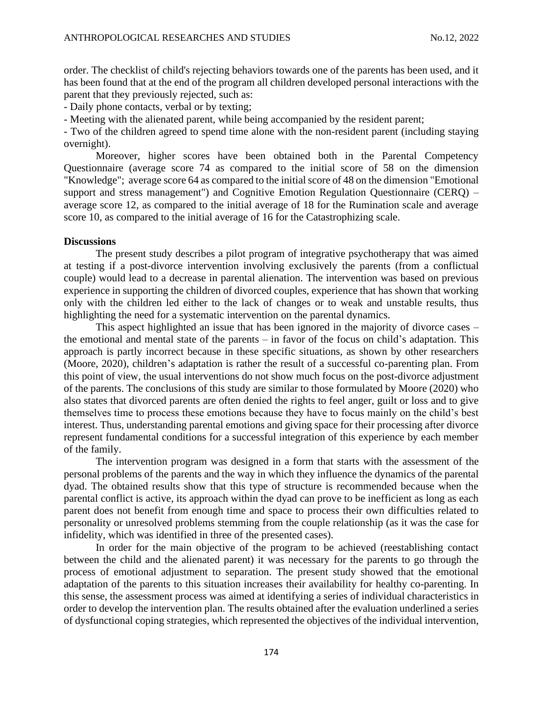order. The checklist of child's rejecting behaviors towards one of the parents has been used, and it has been found that at the end of the program all children developed personal interactions with the parent that they previously rejected, such as:

- Daily phone contacts, verbal or by texting;

- Meeting with the alienated parent, while being accompanied by the resident parent;

- Two of the children agreed to spend time alone with the non-resident parent (including staying overnight).

Moreover, higher scores have been obtained both in the Parental Competency Questionnaire (average score 74 as compared to the initial score of 58 on the dimension "Knowledge"; average score 64 as compared to the initial score of 48 on the dimension "Emotional support and stress management") and Cognitive Emotion Regulation Questionnaire (CERQ) – average score 12, as compared to the initial average of 18 for the Rumination scale and average score 10, as compared to the initial average of 16 for the Catastrophizing scale.

### **Discussions**

The present study describes a pilot program of integrative psychotherapy that was aimed at testing if a post-divorce intervention involving exclusively the parents (from a conflictual couple) would lead to a decrease in parental alienation. The intervention was based on previous experience in supporting the children of divorced couples, experience that has shown that working only with the children led either to the lack of changes or to weak and unstable results, thus highlighting the need for a systematic intervention on the parental dynamics.

This aspect highlighted an issue that has been ignored in the majority of divorce cases – the emotional and mental state of the parents – in favor of the focus on child's adaptation. This approach is partly incorrect because in these specific situations, as shown by other researchers (Moore, 2020), children's adaptation is rather the result of a successful co-parenting plan. From this point of view, the usual interventions do not show much focus on the post-divorce adjustment of the parents. The conclusions of this study are similar to those formulated by Moore (2020) who also states that divorced parents are often denied the rights to feel anger, guilt or loss and to give themselves time to process these emotions because they have to focus mainly on the child's best interest. Thus, understanding parental emotions and giving space for their processing after divorce represent fundamental conditions for a successful integration of this experience by each member of the family.

The intervention program was designed in a form that starts with the assessment of the personal problems of the parents and the way in which they influence the dynamics of the parental dyad. The obtained results show that this type of structure is recommended because when the parental conflict is active, its approach within the dyad can prove to be inefficient as long as each parent does not benefit from enough time and space to process their own difficulties related to personality or unresolved problems stemming from the couple relationship (as it was the case for infidelity, which was identified in three of the presented cases).

In order for the main objective of the program to be achieved (reestablishing contact between the child and the alienated parent) it was necessary for the parents to go through the process of emotional adjustment to separation. The present study showed that the emotional adaptation of the parents to this situation increases their availability for healthy co-parenting. In this sense, the assessment process was aimed at identifying a series of individual characteristics in order to develop the intervention plan. The results obtained after the evaluation underlined a series of dysfunctional coping strategies, which represented the objectives of the individual intervention,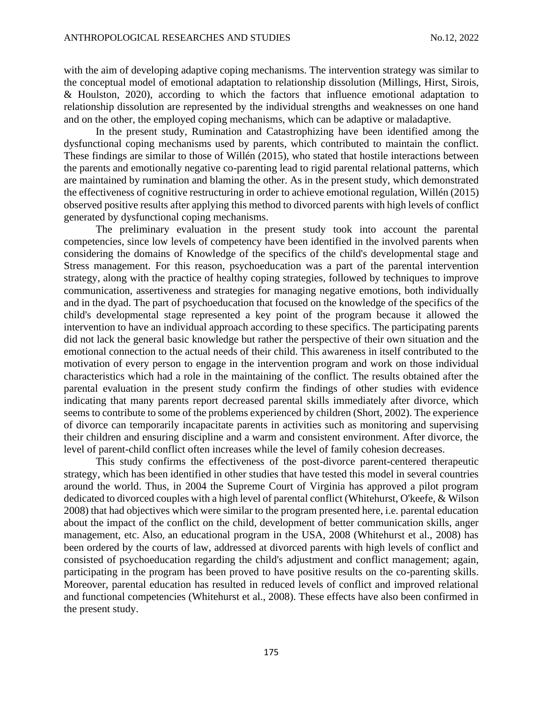with the aim of developing adaptive coping mechanisms. The intervention strategy was similar to the conceptual model of emotional adaptation to relationship dissolution (Millings, Hirst, Sirois, & Houlston, 2020), according to which the factors that influence emotional adaptation to relationship dissolution are represented by the individual strengths and weaknesses on one hand and on the other, the employed coping mechanisms, which can be adaptive or maladaptive.

In the present study, Rumination and Catastrophizing have been identified among the dysfunctional coping mechanisms used by parents, which contributed to maintain the conflict. These findings are similar to those of Willén (2015), who stated that hostile interactions between the parents and emotionally negative co-parenting lead to rigid parental relational patterns, which are maintained by rumination and blaming the other. As in the present study, which demonstrated the effectiveness of cognitive restructuring in order to achieve emotional regulation, Willén (2015) observed positive results after applying this method to divorced parents with high levels of conflict generated by dysfunctional coping mechanisms.

The preliminary evaluation in the present study took into account the parental competencies, since low levels of competency have been identified in the involved parents when considering the domains of Knowledge of the specifics of the child's developmental stage and Stress management. For this reason, psychoeducation was a part of the parental intervention strategy, along with the practice of healthy coping strategies, followed by techniques to improve communication, assertiveness and strategies for managing negative emotions, both individually and in the dyad. The part of psychoeducation that focused on the knowledge of the specifics of the child's developmental stage represented a key point of the program because it allowed the intervention to have an individual approach according to these specifics. The participating parents did not lack the general basic knowledge but rather the perspective of their own situation and the emotional connection to the actual needs of their child. This awareness in itself contributed to the motivation of every person to engage in the intervention program and work on those individual characteristics which had a role in the maintaining of the conflict. The results obtained after the parental evaluation in the present study confirm the findings of other studies with evidence indicating that many parents report decreased parental skills immediately after divorce, which seems to contribute to some of the problems experienced by children (Short, 2002). The experience of divorce can temporarily incapacitate parents in activities such as monitoring and supervising their children and ensuring discipline and a warm and consistent environment. After divorce, the level of parent-child conflict often increases while the level of family cohesion decreases.

This study confirms the effectiveness of the post-divorce parent-centered therapeutic strategy, which has been identified in other studies that have tested this model in several countries around the world. Thus, in 2004 the Supreme Court of Virginia has approved a pilot program dedicated to divorced couples with a high level of parental conflict (Whitehurst, O'keefe, & Wilson 2008) that had objectives which were similar to the program presented here, i.e. parental education about the impact of the conflict on the child, development of better communication skills, anger management, etc. Also, an educational program in the USA, 2008 (Whitehurst et al., 2008) has been ordered by the courts of law, addressed at divorced parents with high levels of conflict and consisted of psychoeducation regarding the child's adjustment and conflict management; again, participating in the program has been proved to have positive results on the co-parenting skills. Moreover, parental education has resulted in reduced levels of conflict and improved relational and functional competencies (Whitehurst et al., 2008). These effects have also been confirmed in the present study.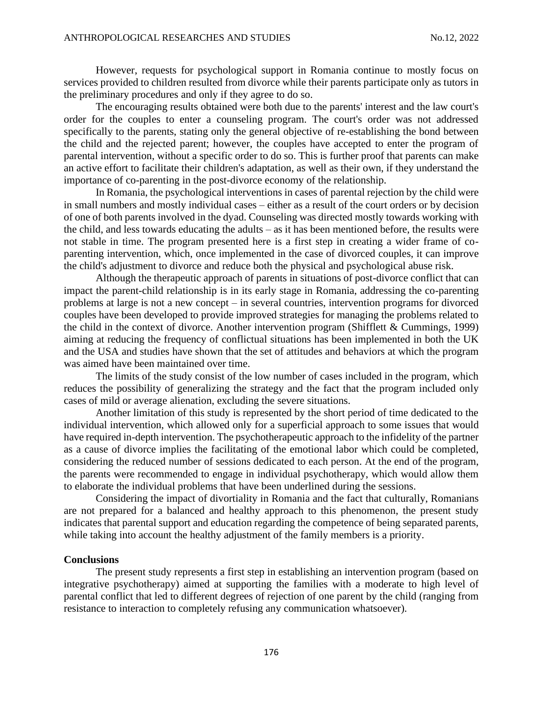However, requests for psychological support in Romania continue to mostly focus on services provided to children resulted from divorce while their parents participate only as tutors in the preliminary procedures and only if they agree to do so.

The encouraging results obtained were both due to the parents' interest and the law court's order for the couples to enter a counseling program. The court's order was not addressed specifically to the parents, stating only the general objective of re-establishing the bond between the child and the rejected parent; however, the couples have accepted to enter the program of parental intervention, without a specific order to do so. This is further proof that parents can make an active effort to facilitate their children's adaptation, as well as their own, if they understand the importance of co-parenting in the post-divorce economy of the relationship.

In Romania, the psychological interventions in cases of parental rejection by the child were in small numbers and mostly individual cases – either as a result of the court orders or by decision of one of both parents involved in the dyad. Counseling was directed mostly towards working with the child, and less towards educating the adults – as it has been mentioned before, the results were not stable in time. The program presented here is a first step in creating a wider frame of coparenting intervention, which, once implemented in the case of divorced couples, it can improve the child's adjustment to divorce and reduce both the physical and psychological abuse risk.

Although the therapeutic approach of parents in situations of post-divorce conflict that can impact the parent-child relationship is in its early stage in Romania, addressing the co-parenting problems at large is not a new concept – in several countries, intervention programs for divorced couples have been developed to provide improved strategies for managing the problems related to the child in the context of divorce. Another intervention program (Shifflett & Cummings, 1999) aiming at reducing the frequency of conflictual situations has been implemented in both the UK and the USA and studies have shown that the set of attitudes and behaviors at which the program was aimed have been maintained over time.

The limits of the study consist of the low number of cases included in the program, which reduces the possibility of generalizing the strategy and the fact that the program included only cases of mild or average alienation, excluding the severe situations.

Another limitation of this study is represented by the short period of time dedicated to the individual intervention, which allowed only for a superficial approach to some issues that would have required in-depth intervention. The psychotherapeutic approach to the infidelity of the partner as a cause of divorce implies the facilitating of the emotional labor which could be completed, considering the reduced number of sessions dedicated to each person. At the end of the program, the parents were recommended to engage in individual psychotherapy, which would allow them to elaborate the individual problems that have been underlined during the sessions.

Considering the impact of divortiality in Romania and the fact that culturally, Romanians are not prepared for a balanced and healthy approach to this phenomenon, the present study indicates that parental support and education regarding the competence of being separated parents, while taking into account the healthy adjustment of the family members is a priority.

#### **Conclusions**

The present study represents a first step in establishing an intervention program (based on integrative psychotherapy) aimed at supporting the families with a moderate to high level of parental conflict that led to different degrees of rejection of one parent by the child (ranging from resistance to interaction to completely refusing any communication whatsoever).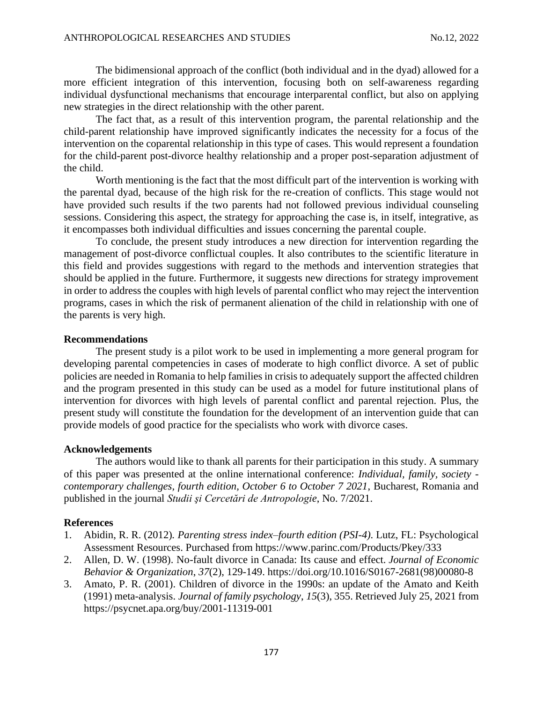The bidimensional approach of the conflict (both individual and in the dyad) allowed for a more efficient integration of this intervention, focusing both on self-awareness regarding individual dysfunctional mechanisms that encourage interparental conflict, but also on applying new strategies in the direct relationship with the other parent.

The fact that, as a result of this intervention program, the parental relationship and the child-parent relationship have improved significantly indicates the necessity for a focus of the intervention on the coparental relationship in this type of cases. This would represent a foundation for the child-parent post-divorce healthy relationship and a proper post-separation adjustment of the child.

Worth mentioning is the fact that the most difficult part of the intervention is working with the parental dyad, because of the high risk for the re-creation of conflicts. This stage would not have provided such results if the two parents had not followed previous individual counseling sessions. Considering this aspect, the strategy for approaching the case is, in itself, integrative, as it encompasses both individual difficulties and issues concerning the parental couple.

To conclude, the present study introduces a new direction for intervention regarding the management of post-divorce conflictual couples. It also contributes to the scientific literature in this field and provides suggestions with regard to the methods and intervention strategies that should be applied in the future. Furthermore, it suggests new directions for strategy improvement in order to address the couples with high levels of parental conflict who may reject the intervention programs, cases in which the risk of permanent alienation of the child in relationship with one of the parents is very high.

#### **Recommendations**

The present study is a pilot work to be used in implementing a more general program for developing parental competencies in cases of moderate to high conflict divorce. A set of public policies are needed in Romania to help families in crisis to adequately support the affected children and the program presented in this study can be used as a model for future institutional plans of intervention for divorces with high levels of parental conflict and parental rejection. Plus, the present study will constitute the foundation for the development of an intervention guide that can provide models of good practice for the specialists who work with divorce cases.

### **Acknowledgements**

The authors would like to thank all parents for their participation in this study. A summary of this paper was presented at the online international conference: *Individual, family, society contemporary challenges, fourth edition, October 6 to October 7 2021*, Bucharest, Romania and published in the journal *Studii şi Cercetări de Antropologie*, No. 7/2021.

### **References**

- 1. Abidin, R. R. (2012)*. Parenting stress index–fourth edition (PSI-4).* Lutz, FL: Psychological Assessment Resources. Purchased from https://www.parinc.com/Products/Pkey/333
- 2. Allen, D. W. (1998). No-fault divorce in Canada: Its cause and effect. *Journal of Economic Behavior & Organization*, *37*(2), 129-149. [https://doi.org/10.1016/S0167-2681\(98\)00080-8](https://doi.org/10.1016/S0167-2681(98)00080-8)
- 3. Amato, P. R. (2001). Children of divorce in the 1990s: an update of the Amato and Keith (1991) meta-analysis. *Journal of family psychology*, *15*(3), 355. Retrieved July 25, 2021 from <https://psycnet.apa.org/buy/2001-11319-001>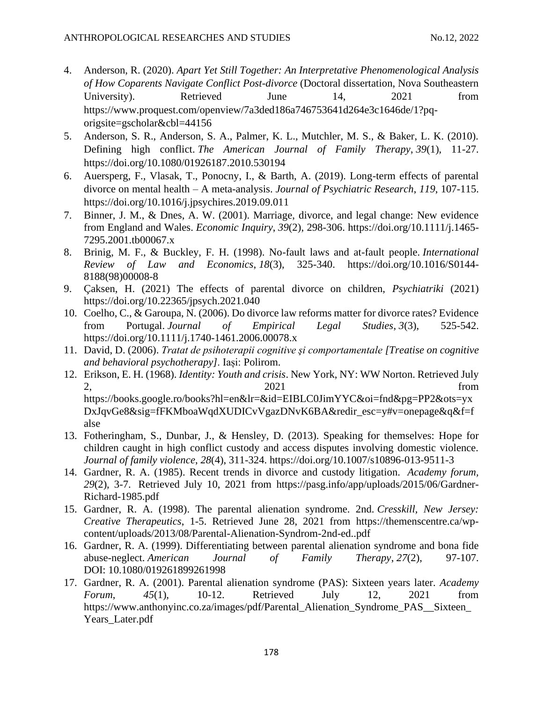- 4. Anderson, R. (2020). *Apart Yet Still Together: An Interpretative Phenomenological Analysis of How Coparents Navigate Conflict Post-divorce* (Doctoral dissertation, Nova Southeastern University). Retrieved June 14, 2021 from [https://www.proquest.com/openview/7a3ded186a746753641d264e3c1646de/1?pq](https://www.proquest.com/openview/7a3ded186a746753641d264e3c1646de/1?pq-origsite=gscholar&cbl=44156)[origsite=gscholar&cbl=44156](https://www.proquest.com/openview/7a3ded186a746753641d264e3c1646de/1?pq-origsite=gscholar&cbl=44156)
- 5. Anderson, S. R., Anderson, S. A., Palmer, K. L., Mutchler, M. S., & Baker, L. K. (2010). Defining high conflict. *The American Journal of Family Therapy*, *39*(1), 11-27. <https://doi.org/10.1080/01926187.2010.530194>
- 6. Auersperg, F., Vlasak, T., Ponocny, I., & Barth, A. (2019). Long-term effects of parental divorce on mental health – A meta-analysis. *Journal of Psychiatric Research*, *119*, 107-115. <https://doi.org/10.1016/j.jpsychires.2019.09.011>
- 7. Binner, J. M., & Dnes, A. W. (2001). Marriage, divorce, and legal change: New evidence from England and Wales. *Economic Inquiry*, *39*(2), 298-306. [https://doi.org/10.1111/j.1465-](https://doi.org/10.1111/j.1465-7295.2001.tb00067.x) [7295.2001.tb00067.x](https://doi.org/10.1111/j.1465-7295.2001.tb00067.x)
- 8. Brinig, M. F., & Buckley, F. H. (1998). No-fault laws and at-fault people. *International Review of Law and Economics*, *18*(3), 325-340. [https://doi.org/10.1016/S0144-](https://doi.org/10.1016/S0144-8188(98)00008-8) [8188\(98\)00008-8](https://doi.org/10.1016/S0144-8188(98)00008-8)
- 9. Çaksen, H. (2021) The effects of parental divorce on children, *Psychiatriki* (2021) <https://doi.org/10.22365/jpsych.2021.040>
- 10. Coelho, C., & Garoupa, N. (2006). Do divorce law reforms matter for divorce rates? Evidence from Portugal. *Journal of Empirical Legal Studies*, *3*(3), 525-542. <https://doi.org/10.1111/j.1740-1461.2006.00078.x>
- 11. David, D. (2006). *Tratat de psihoterapii cognitive şi comportamentale [Treatise on cognitive and behavioral psychotherapy]*. Iași: Polirom.
- 12. Erikson, E. H. (1968). *Identity: Youth and crisis*. New York, NY: WW Norton. Retrieved July 2021 from [https://books.google.ro/books?hl=en&lr=&id=EIBLC0JimYYC&oi=fnd&pg=PP2&ots=yx](https://books.google.ro/books?hl=en&lr=&id=EIBLC0JimYYC&oi=fnd&pg=PP2&ots=yxDxJqvGe8&sig=fFKMboaWqdXUDICvVgazDNvK6BA&redir_esc=y#v=onepage&q&f=false) [DxJqvGe8&sig=fFKMboaWqdXUDICvVgazDNvK6BA&redir\\_esc=y#v=onepage&q&f=f](https://books.google.ro/books?hl=en&lr=&id=EIBLC0JimYYC&oi=fnd&pg=PP2&ots=yxDxJqvGe8&sig=fFKMboaWqdXUDICvVgazDNvK6BA&redir_esc=y#v=onepage&q&f=false) [alse](https://books.google.ro/books?hl=en&lr=&id=EIBLC0JimYYC&oi=fnd&pg=PP2&ots=yxDxJqvGe8&sig=fFKMboaWqdXUDICvVgazDNvK6BA&redir_esc=y#v=onepage&q&f=false)
- 13. Fotheringham, S., Dunbar, J., & Hensley, D. (2013). Speaking for themselves: Hope for children caught in high conflict custody and access disputes involving domestic violence. *Journal of family violence*, *28*(4), 311-324.<https://doi.org/10.1007/s10896-013-9511-3>
- 14. Gardner, R. A. (1985). Recent trends in divorce and custody litigation. *Academy forum, 29*(2), 3-7. Retrieved July 10, 2021 from [https://pasg.info/app/uploads/2015/06/Gardner-](https://pasg.info/app/uploads/2015/06/Gardner-Richard-1985.pdf)[Richard-1985.pdf](https://pasg.info/app/uploads/2015/06/Gardner-Richard-1985.pdf)
- 15. Gardner, R. A. (1998). The parental alienation syndrome. 2nd. *Cresskill, New Jersey: Creative Therapeutics*, 1-5. Retrieved June 28, 2021 from [https://themenscentre.ca/wp](https://themenscentre.ca/wp-content/uploads/2013/08/Parental-Alienation-Syndrom-2nd-ed..pdf)[content/uploads/2013/08/Parental-Alienation-Syndrom-2nd-ed..pdf](https://themenscentre.ca/wp-content/uploads/2013/08/Parental-Alienation-Syndrom-2nd-ed..pdf)
- 16. Gardner, R. A. (1999). Differentiating between parental alienation syndrome and bona fide abuse-neglect. *American Journal of Family Therapy*, *27*(2), 97-107. DOI: [10.1080/019261899261998](https://doi.org/10.1080/019261899261998)
- 17. Gardner, R. A. (2001). Parental alienation syndrome (PAS): Sixteen years later. *Academy Forum*, *45*(1), 10-12. Retrieved July 12, 2021 from [https://www.anthonyinc.co.za/images/pdf/Parental\\_Alienation\\_Syndrome\\_PAS\\_\\_Sixteen\\_](https://www.anthonyinc.co.za/images/pdf/Parental_Alienation_Syndrome_PAS__Sixteen_Years_Later.pdf) [Years\\_Later.pdf](https://www.anthonyinc.co.za/images/pdf/Parental_Alienation_Syndrome_PAS__Sixteen_Years_Later.pdf)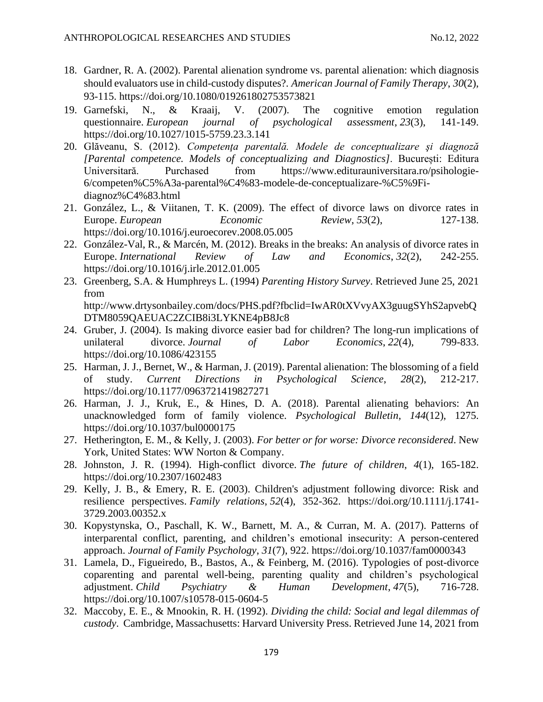- 18. Gardner, R. A. (2002). Parental alienation syndrome vs. parental alienation: which diagnosis should evaluators use in child-custody disputes?. *American Journal of Family Therapy*, *30*(2), 93-115.<https://doi.org/10.1080/019261802753573821>
- 19. Garnefski, N., & Kraaij, V. (2007). The cognitive emotion regulation questionnaire. *European journal of psychological assessment*, *23*(3), 141-149. <https://doi.org/10.1027/1015-5759.23.3.141>
- 20. Glăveanu, S. (2012). *Competenţa parentală. Modele de conceptualizare şi diagnoză [Parental competence. Models of conceptualizing and Diagnostics]*. București: Editura Universitară. Purchased from [https://www.editurauniversitara.ro/psihologie-](https://www.editurauniversitara.ro/psihologie-6/competen%C5%A3a-parental%C4%83-modele-de-conceptualizare-%C5%9Fi-diagnoz%C4%83.html?fbclid=IwAR39YSMrXPWG3NAOUhyK0sC0XrUDi_IBKbIvAiGA27MHsynWblaQ269o4Nw)[6/competen%C5%A3a-parental%C4%83-modele-de-conceptualizare-%C5%9Fi](https://www.editurauniversitara.ro/psihologie-6/competen%C5%A3a-parental%C4%83-modele-de-conceptualizare-%C5%9Fi-diagnoz%C4%83.html?fbclid=IwAR39YSMrXPWG3NAOUhyK0sC0XrUDi_IBKbIvAiGA27MHsynWblaQ269o4Nw)[diagnoz%C4%83.html](https://www.editurauniversitara.ro/psihologie-6/competen%C5%A3a-parental%C4%83-modele-de-conceptualizare-%C5%9Fi-diagnoz%C4%83.html?fbclid=IwAR39YSMrXPWG3NAOUhyK0sC0XrUDi_IBKbIvAiGA27MHsynWblaQ269o4Nw)
- 21. González, L., & Viitanen, T. K. (2009). The effect of divorce laws on divorce rates in Europe. *European Economic Review*, *53*(2), 127-138. <https://doi.org/10.1016/j.euroecorev.2008.05.005>
- 22. González-Val, R., & Marcén, M. (2012). Breaks in the breaks: An analysis of divorce rates in Europe. *International Review of Law and Economics*, *32*(2), 242-255. <https://doi.org/10.1016/j.irle.2012.01.005>
- 23. Greenberg, S.A. & Humphreys L. (1994) *Parenting History Survey*. Retrieved June 25, 2021 from http://www.drtysonbailey.com/docs/PHS.pdf?fbclid=IwAR0tXVvyAX3guugSYhS2apvebQ DTM8059QAEUAC2ZCIB8i3LYKNE4pB8Jc8
- 24. Gruber, J. (2004). Is making divorce easier bad for children? The long-run implications of unilateral divorce. *Journal of Labor Economics*, *22*(4), 799-833. <https://doi.org/10.1086/423155>
- 25. Harman, J. J., Bernet, W., & Harman, J. (2019). Parental alienation: The blossoming of a field of study. *Current Directions in Psychological Science*, *28*(2), 212-217. <https://doi.org/10.1177/0963721419827271>
- 26. Harman, J. J., Kruk, E., & Hines, D. A. (2018). Parental alienating behaviors: An unacknowledged form of family violence. *Psychological Bulletin*, *144*(12), 1275. <https://doi.org/10.1037/bul0000175>
- 27. Hetherington, E. M., & Kelly, J. (2003). *For better or for worse: Divorce reconsidered*. New York, United States: WW Norton & Company.
- 28. Johnston, J. R. (1994). High-conflict divorce. *The future of children*, *4*(1), 165-182. <https://doi.org/10.2307/1602483>
- 29. Kelly, J. B., & Emery, R. E. (2003). Children's adjustment following divorce: Risk and resilience perspectives. *Family relations*, *52*(4), 352-362. [https://doi.org/10.1111/j.1741-](https://doi.org/10.1111/j.1741-3729.2003.00352.x) [3729.2003.00352.x](https://doi.org/10.1111/j.1741-3729.2003.00352.x)
- 30. Kopystynska, O., Paschall, K. W., Barnett, M. A., & Curran, M. A. (2017). Patterns of interparental conflict, parenting, and children's emotional insecurity: A person-centered approach. *Journal of Family Psychology*, *31*(7), 922. [https://doi.org/10.1037/fam0000343](https://psycnet.apa.org/doi/10.1037/fam0000343)
- 31. Lamela, D., Figueiredo, B., Bastos, A., & Feinberg, M. (2016). Typologies of post-divorce coparenting and parental well-being, parenting quality and children's psychological adjustment. *Child Psychiatry & Human Development*, *47*(5), 716-728. <https://doi.org/10.1007/s10578-015-0604-5>
- 32. Maccoby, E. E., & Mnookin, R. H. (1992). *Dividing the child: Social and legal dilemmas of custody*. Cambridge, Massachusetts: Harvard University Press. Retrieved June 14, 2021 from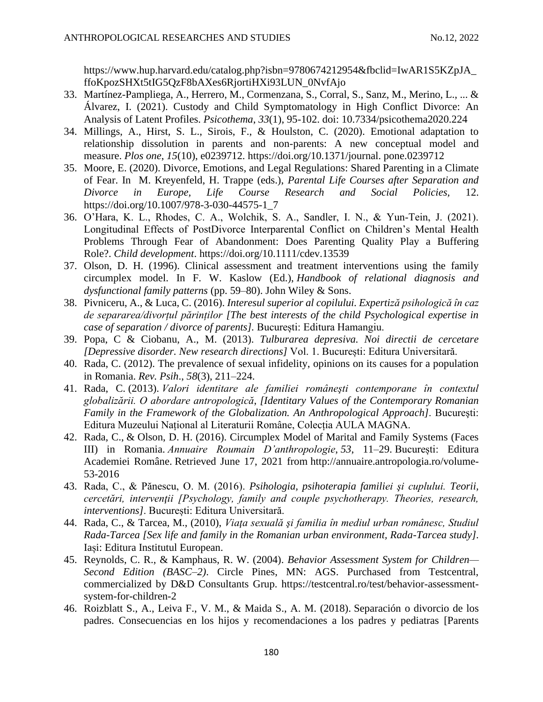[https://www.hup.harvard.edu/catalog.php?isbn=9780674212954&fbclid=IwAR1S5KZpJA\\_](https://www.hup.harvard.edu/catalog.php?isbn=9780674212954&fbclid=IwAR1S5KZpJA_ffoKpozSHXt5tIG5QzF8bAXes6RjortiHXi93LUN_0NvfAjo) [ffoKpozSHXt5tIG5QzF8bAXes6RjortiHXi93LUN\\_0NvfAjo](https://www.hup.harvard.edu/catalog.php?isbn=9780674212954&fbclid=IwAR1S5KZpJA_ffoKpozSHXt5tIG5QzF8bAXes6RjortiHXi93LUN_0NvfAjo)

- 33. Martínez-Pampliega, A., Herrero, M., Cormenzana, S., Corral, S., Sanz, M., Merino, L., ... & Álvarez, I. (2021). Custody and Child Symptomatology in High Conflict Divorce: An Analysis of Latent Profiles. *Psicothema*, *33*(1), 95-102. doi: [10.7334/psicothema2020.224](http://dx.doi.org/10.7334/psicothema2020.224)
- 34. Millings, A., Hirst, S. L., Sirois, F., & Houlston, C. (2020). Emotional adaptation to relationship dissolution in parents and non-parents: A new conceptual model and measure. *Plos one*, *15*(10), e0239712. [https://doi.org/10.1371/journal. pone.0239712](https://doi.org/10.1371/journal.%20pone.0239712)
- 35. Moore, E. (2020). Divorce, Emotions, and Legal Regulations: Shared Parenting in a Climate of Fear. In M. Kreyenfeld, H. Trappe (eds.), *Parental Life Courses after Separation and Divorce in Europe, Life Course Research and Social Policies,* 12. [https://doi.org/10.1007/978-3-030-44575-1\\_7](https://doi.org/10.1007/978-3-030-44575-1_7)
- 36. O'Hara, K. L., Rhodes, C. A., Wolchik, S. A., Sandler, I. N., & Yun‐Tein, J. (2021). Longitudinal Effects of PostDivorce Interparental Conflict on Children's Mental Health Problems Through Fear of Abandonment: Does Parenting Quality Play a Buffering Role?. *Child development*.<https://doi.org/10.1111/cdev.13539>
- 37. Olson, D. H. (1996). Clinical assessment and treatment interventions using the family circumplex model. In F. W. Kaslow (Ed.), *Handbook of relational diagnosis and dysfunctional family patterns* (pp. 59–80). John Wiley & Sons.
- 38. Pivniceru, A., & Luca, C. (2016). *Interesul superior al copilului. Expertiză psihologică în caz de separarea/divorțul părinților [The best interests of the child Psychological expertise in case of separation / divorce of parents].* București: Editura Hamangiu.
- 39. Popa, C & Ciobanu, A., M. (2013). *Tulburarea depresiva. Noi directii de cercetare [Depressive disorder. New research directions]* Vol. 1. București: Editura Universitară.
- 40. Rada, C. (2012). The prevalence of sexual infidelity, opinions on its causes for a population in Romania. *Rev. Psih*., *58*(3), 211–224.
- 41. Rada, C. (2013). *Valori identitare ale familiei româneşti contemporane în contextul globalizării. O abordare antropologică*, *[Identitary Values of the Contemporary Romanian Family in the Framework of the Globalization. An Anthropological Approach]*. Bucureşti: Editura Muzeului Național al Literaturii Române, Colecția AULA MAGNA.
- 42. Rada, C., & Olson, D. H. (2016). Circumplex Model of Marital and Family Systems (Faces III) in Romania. *Annuaire Roumain D'anthropologie*, *53*, 11–29. București: Editura Academiei Române. Retrieved June 17, 2021 from [http://annuaire.antropologia.ro/volume-](http://annuaire.antropologia.ro/volume-53-2016)[53-2016](http://annuaire.antropologia.ro/volume-53-2016)
- 43. Rada, C., & Pănescu, O. M. (2016). *Psihologia, psihoterapia familiei şi cuplului. Teorii, cercetări, intervenţii [Psychology, family and couple psychotherapy. Theories, research, interventions]*. București: Editura Universitară.
- 44. Rada, C., & Tarcea, M., (2010), *Viaţa sexuală şi familia în mediul urban românesc, Studiul Rada-Tarcea [Sex life and family in the Romanian urban environment, Rada-Tarcea study]*. Iași: Editura Institutul European.
- 45. Reynolds, C. R., & Kamphaus, R. W. (2004). *Behavior Assessment System for Children— Second Edition (BASC–2)*. Circle Pines, MN: AGS. Purchased from Testcentral, commercialized by D&D Consultants Grup. https://testcentral.ro/test/behavior-assessmentsystem-for-children-2
- 46. Roizblatt S., A., Leiva F., V. M., & Maida S., A. M. (2018). Separación o divorcio de los padres. Consecuencias en los hijos y recomendaciones a los padres y pediatras [Parents